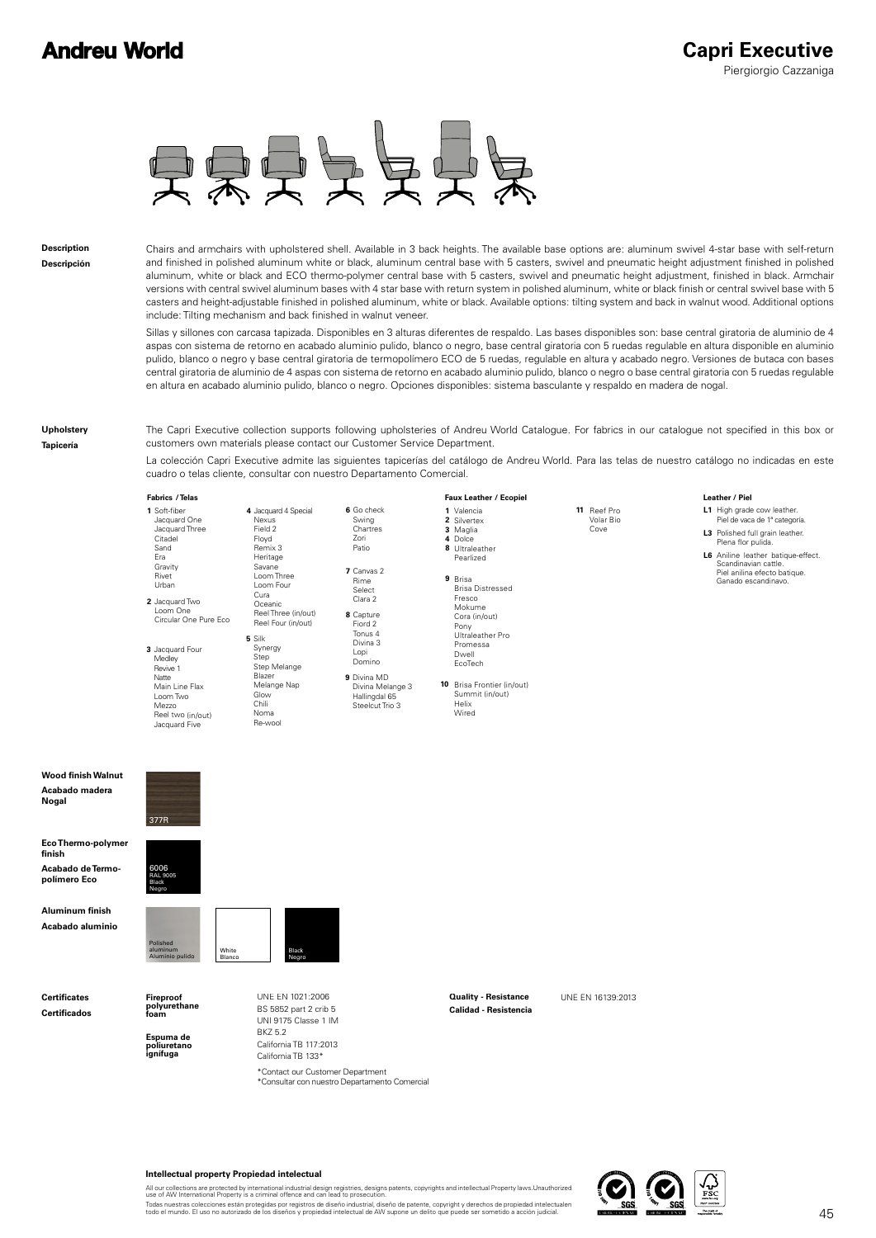## **Andreu World**



**Description Descripción**

Chairs and armchairs with upholstered shell. Available in 3 back heights. The available base options are: aluminum swivel 4-star base with self-return and finished in polished aluminum white or black, aluminum central base with 5 casters, swivel and pneumatic height adjustment finished in polished aluminum, white or black and ECO thermo-polymer central base with 5 casters, swivel and pneumatic height adjustment, finished in black. Armchair versions with central swivel aluminum bases with 4 star base with return system in polished aluminum, white or black finish or central swivel base with 5 casters and height-adjustable finished in polished aluminum, white or black. Available options: tilting system and back in walnut wood. Additional options include: Tilting mechanism and back finished in walnut veneer.

Sillas y sillones con carcasa tapizada. Disponibles en 3 alturas diferentes de respaldo. Las bases disponibles son: base central giratoria de aluminio de 4 aspas con sistema de retorno en acabado aluminio pulido, blanco o negro, base central giratoria con 5 ruedas regulable en altura disponible en aluminio pulido, blanco o negro y base central giratoria de termopolímero ECO de 5 ruedas, regulable en altura y acabado negro. Versiones de butaca con bases central giratoria de aluminio de 4 aspas con sistema de retorno en acabado aluminio pulido, blanco o negro o base central giratoria con 5 ruedas regulable en altura en acabado aluminio pulido, blanco o negro. Opciones disponibles: sistema basculante y respaldo en madera de nogal.

**Upholstery**

**Tapicería**

The Capri Executive collection supports following upholsteries of Andreu World Catalogue. For fabrics in our catalogue not specified in this box or customers own materials please contact our Customer Service Department.

La colección Capri Executive admite las siguientes tapicerías del catálogo de Andreu World. Para las telas de nuestro catálogo no indicadas en este cuadro o telas cliente, consultar con nuestro Departamento Comercial.

## **Fabrics Faux Leather**

377R

6006 RAL 9005 Black Negro

| 1 Soft-fiber<br>Jacquard One<br>Jacquard Three<br>Citadel<br>Sand<br>Fra           | 4 Jacquard 4 Special<br>Nexus<br>Field 2<br>Floyd<br>Remix 3<br>Heritage | 6 Go check<br>Swing<br>Chartres<br>Zori<br>Patio                 |
|------------------------------------------------------------------------------------|--------------------------------------------------------------------------|------------------------------------------------------------------|
| Gravity<br>Rivet<br>Urban<br>2 Jacquard Two                                        | Savane<br>Loom Three<br>Loom Four<br>Cura<br>Oceanic                     | 7 Canvas 2<br>Rime<br>Select<br>Clara 2                          |
| Loom One<br>Circular One Pure Fco                                                  | Reel Three (in/out)<br>Reel Four (in/out)                                | 8 Capture<br>Fiord 2                                             |
| 3 Jacquard Four<br>Medley<br>Revive 1                                              | 5 Silk<br>Synergy<br>Step<br>Step Melange                                | Tonus 4<br>Divina 3<br>Lopi<br>Domino                            |
| Natte<br>Main Line Flax<br>Loom Two<br>Mezzo<br>Reel two (in/out)<br>Jacquard Five | Blazer<br>Melange Nap<br>Glow<br>Chili<br>Noma<br>Re-wool                | 9 Divina MD<br>Divina Melang<br>Hallingdal 65<br>Steelcut Trio 3 |

Capture Tonus 4 Divina 3 Domino Divina MD Melange 3 Hallingdal 65 es<br>C  $\overline{2}$ 

Valencia **1 2** Silvertex<br>**3** Maglia Dolce **4 8** Ultraleather **9** Brisa Pearlized Brisa Distressed Fresco Mokume Cora (in/out) Pony Ultraleather Pro

**10** Brisa Frontier (in/out) Summit (in/out) Helix Wired EcoTech

Promessa Dwell

**/ Piel / Telas / Ecopiel Leather**

- L1 High grade cow leather.<br>Piel de vaca de 1ª categoría. **L3** Polished full grain leather.
- **L6** Aniline leather batique-effect. Plena flor pulida. Scandinavian cattle.<br>Piel anilina efecto batique.<br>Ganado escandinavo.

**Wood finish Walnut Acabado madera Nogal**

**Eco Thermo-polymer finish Acabado de Termo-**

**polímero Eco Aluminum finish**

**Acabado aluminio**

**Certificates Certificados** **Fireproof polyurethane foam**

Polished aluminum Aluminio pulido

**Espuma de poliuretano ignífuga**



BS 5852 part 2 crib 5 UNI 9175 Classe 1 IM BKZ 5.2 California TB 117:2013 California TB 133\*

\*Consultar con nuestro Departamento Comercial \*Contact our Customer Department

UNE EN 1021:2006 **Duality - Resistance** UNE EN 16139:2013 **Calidad - Resistencia**

**11** Reef Pro

Volar Bio Cove



## **Intellectual property Propiedad intelectual**

All our collections are protected by international industrial design registries, designs patents, copyrights and intellectual Property laws.Unauthorized<br>use of AW International Property is a criminal offence and can lead t

Todas nuestras colecciones están protegidas por registros de diseño industrial, diseño de patente, copyright y derechos de propiedad intelectualen<br>todo el mundo. El uso no autorizado de los diseños y propiedad intelectual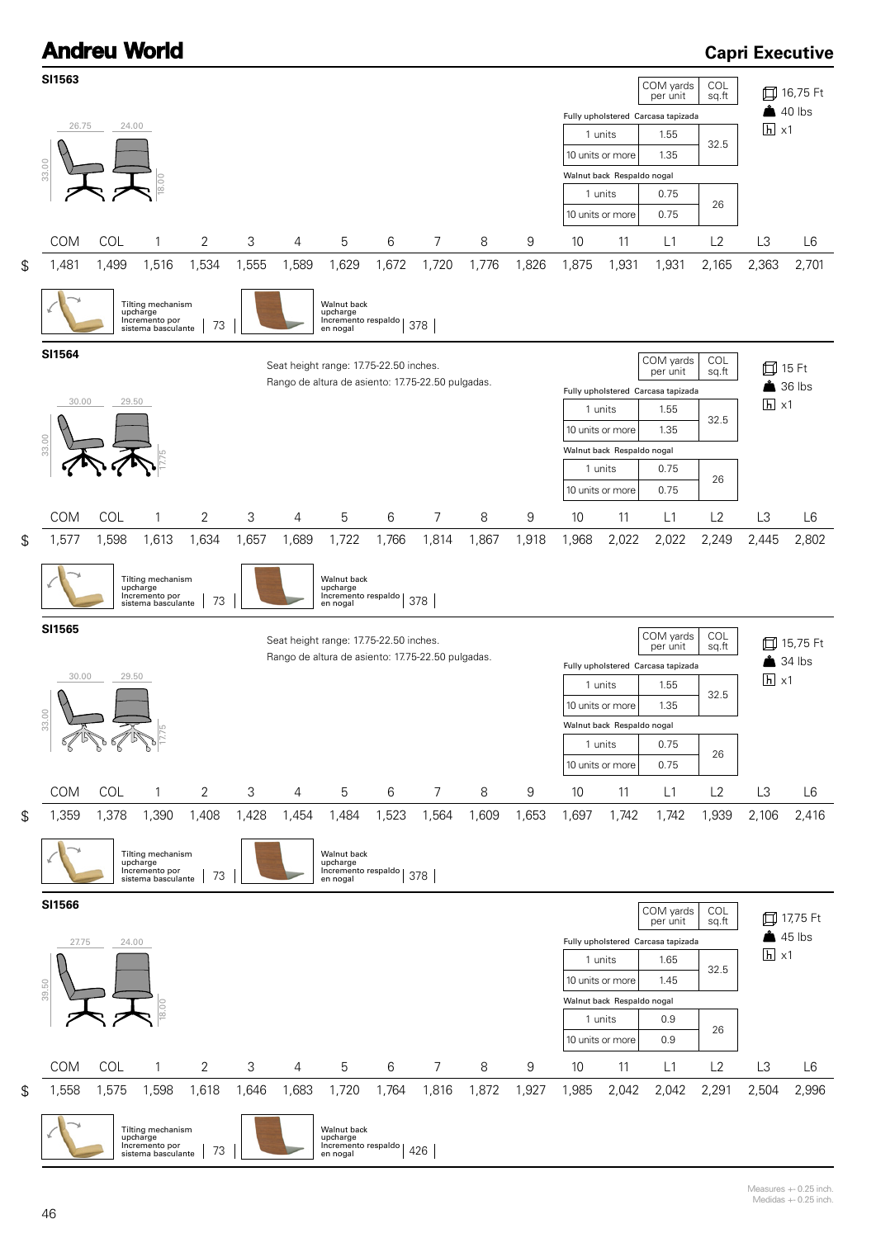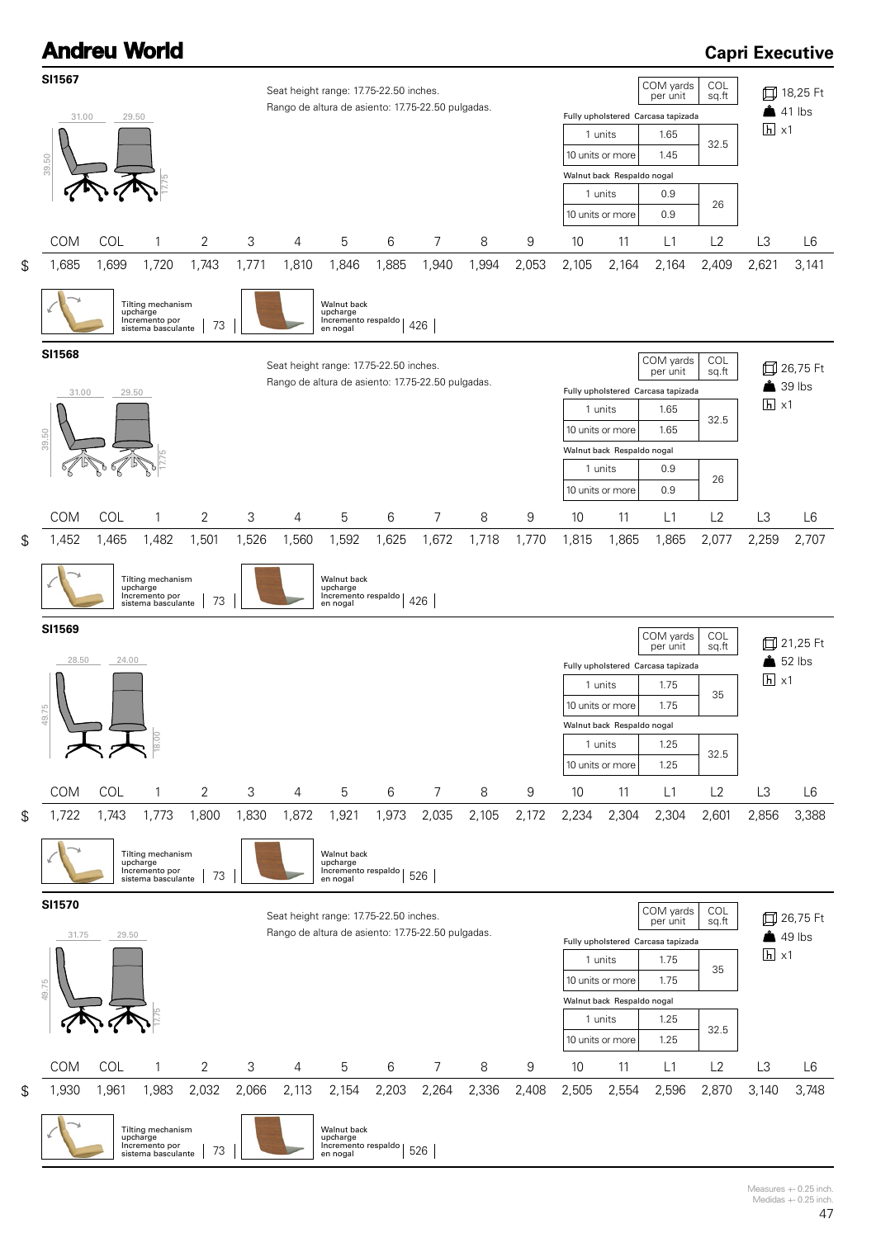

Measures +- 0.25 inch. Medidas +- 0.25 inch.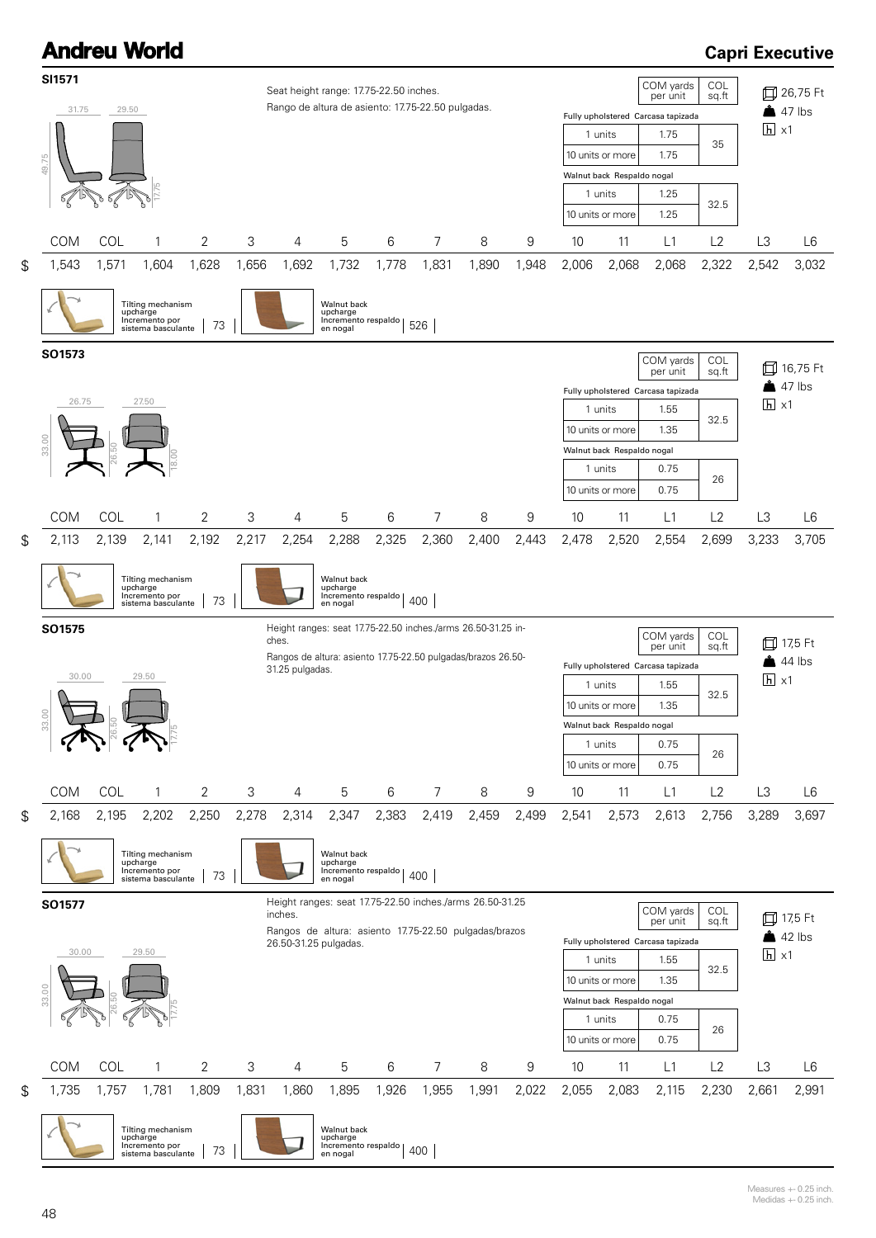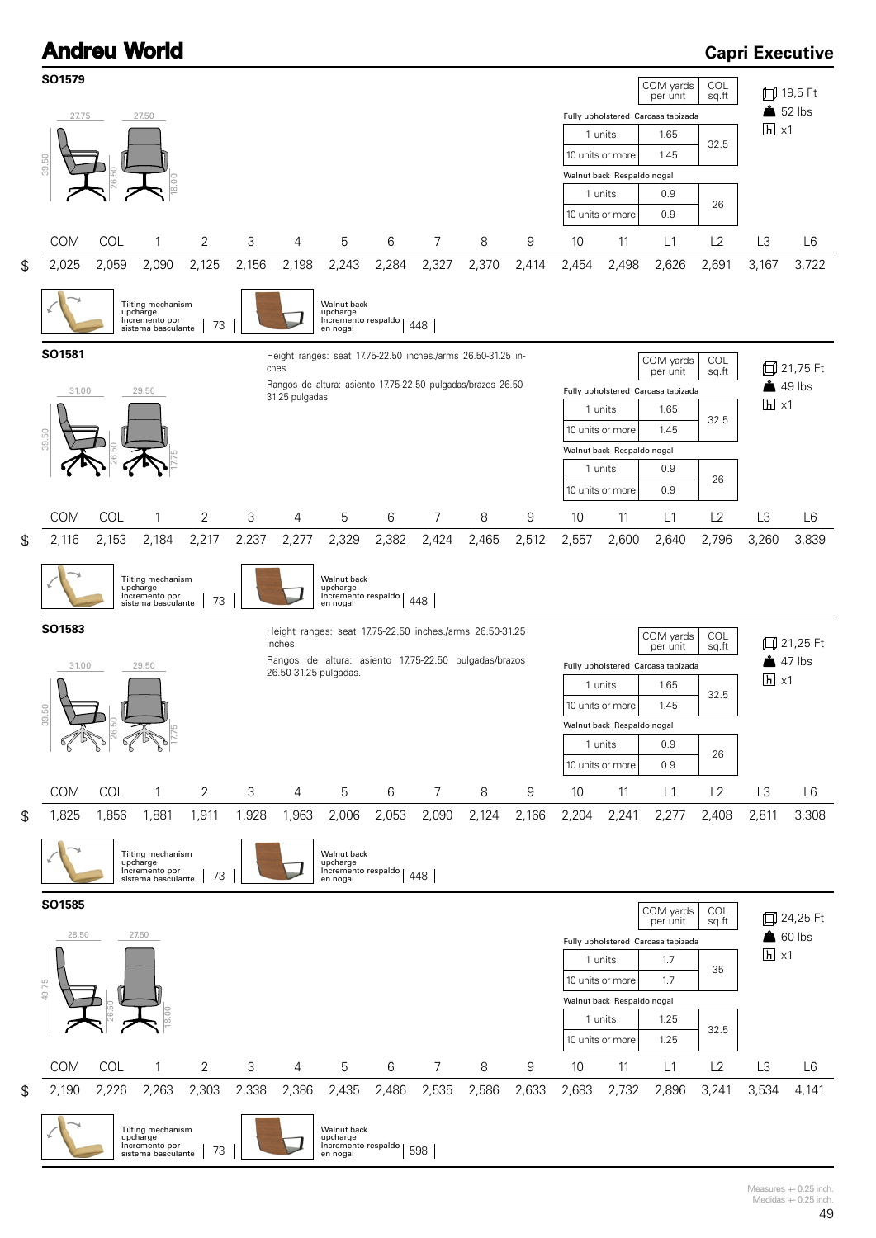

Measures +- 0.25 inch. Medidas +- 0.25 inch.